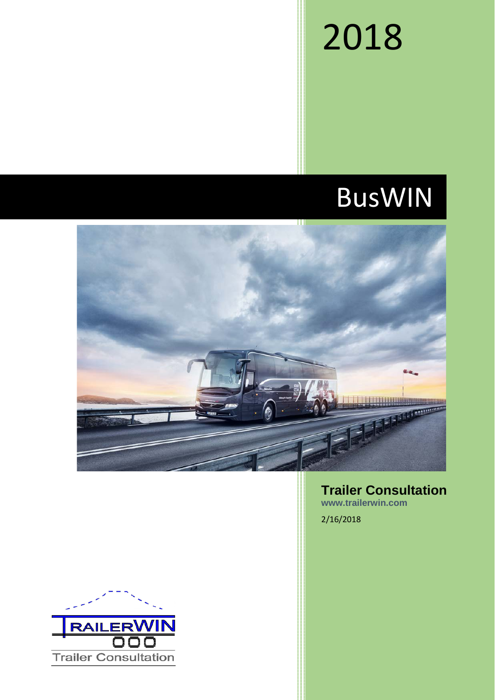# 2018

# BusWIN



**Trailer Consultation www.trailerwin.com**

2/16/2018

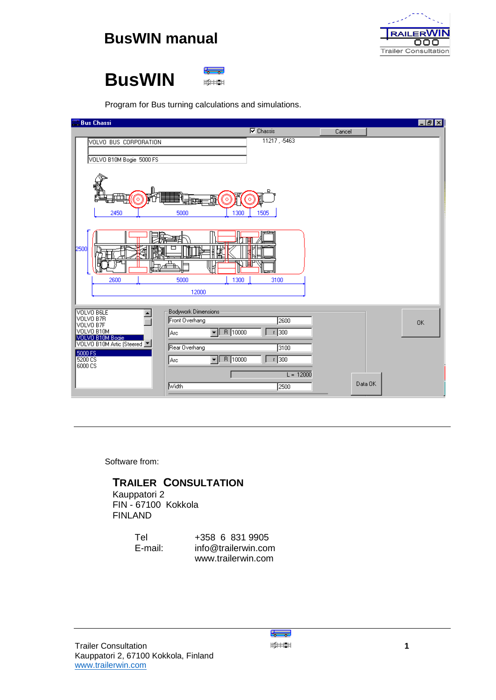

## **BusWIN**



Program for Bus turning calculations and simulations.

| <b>Bus Chassi</b>                                                                |                                                                                                          |         | $  \cdot  $ $\theta$ $  \times  $ |
|----------------------------------------------------------------------------------|----------------------------------------------------------------------------------------------------------|---------|-----------------------------------|
|                                                                                  | $\nabla$ Chassis                                                                                         | Cancel  |                                   |
| VOLVO BUS CORPORATION<br>VOLVO B10M Bogie 5000 FS                                | 11217, 5463                                                                                              |         |                                   |
| 懵<br>٥<br>2450                                                                   | 閗<br>o<br>$\circ$<br>1300<br>1505<br>5000                                                                |         |                                   |
| 2500<br>2600                                                                     | 竹面<br>啣<br>ИN<br>5000<br>1300<br>3100                                                                    |         |                                   |
|                                                                                  | 12000                                                                                                    |         |                                   |
| VOLVO BELE<br>VOLVO B7R<br>VOLVO B7F<br>VOLVO B10M                               | Bodywork Dimensions<br>Front Overhang<br>2600<br>$\boxed{\blacksquare}$ R $\boxed{10000}$<br>300<br> Arc |         | 0K                                |
| VOLVO B10M Bogie<br>VOLVO B10M Artic (Steered V<br>5000 FS<br>5200 CS<br>6000 CS | Rear Overhang<br>3100<br>$\sqrt{R}$ 10000<br>$r$ 300<br>∥Arc                                             |         |                                   |
|                                                                                  | $L = 12000$<br>Width<br>2500                                                                             | Data OK |                                   |

Software from:

## **TRAILER CONSULTATION**

 Kauppatori 2 FIN - 67100 Kokkola FINLAND

Tel +358 6 831 9905<br>
E-mail: info@trailerwin.cor info@trailerwin.com www.trailerwin.com

الهسكا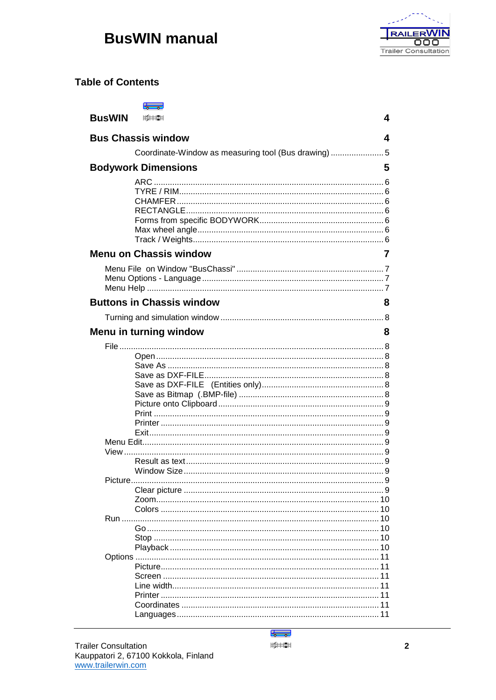

## **Table of Contents**

| <b>BusWIN</b> |                                                    | 4  |
|---------------|----------------------------------------------------|----|
|               | <b>Bus Chassis window</b>                          | 4  |
|               | Coordinate-Window as measuring tool (Bus drawing)5 |    |
|               | <b>Bodywork Dimensions</b>                         | 5  |
|               | ARC                                                |    |
|               | <b>Menu on Chassis window</b>                      | 7  |
|               | <b>Buttons in Chassis window</b>                   | 8  |
|               |                                                    |    |
|               | Menu in turning window                             | 8  |
|               |                                                    |    |
|               |                                                    |    |
|               |                                                    |    |
|               |                                                    |    |
|               |                                                    | 10 |
|               |                                                    |    |

أتهينكا  $\frac{1}{2}$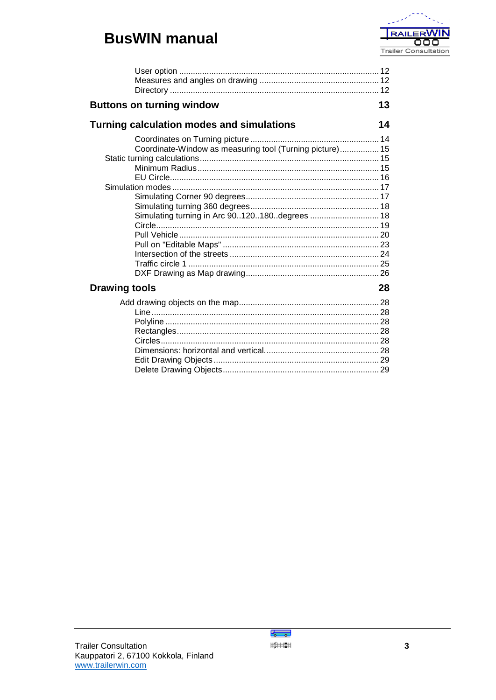

| <b>Buttons on turning window</b>                         | 13 |
|----------------------------------------------------------|----|
| <b>Turning calculation modes and simulations</b>         | 14 |
|                                                          |    |
| Coordinate-Window as measuring tool (Turning picture) 15 |    |
|                                                          |    |
|                                                          |    |
|                                                          |    |
|                                                          |    |
|                                                          |    |
|                                                          |    |
| Simulating turning in Arc 90120180degrees  18            |    |
|                                                          |    |
|                                                          |    |
|                                                          |    |
|                                                          |    |
|                                                          |    |
|                                                          |    |
| <b>Drawing tools</b>                                     | 28 |
|                                                          |    |
|                                                          |    |
|                                                          |    |
|                                                          |    |
|                                                          |    |
|                                                          |    |
|                                                          |    |
|                                                          |    |

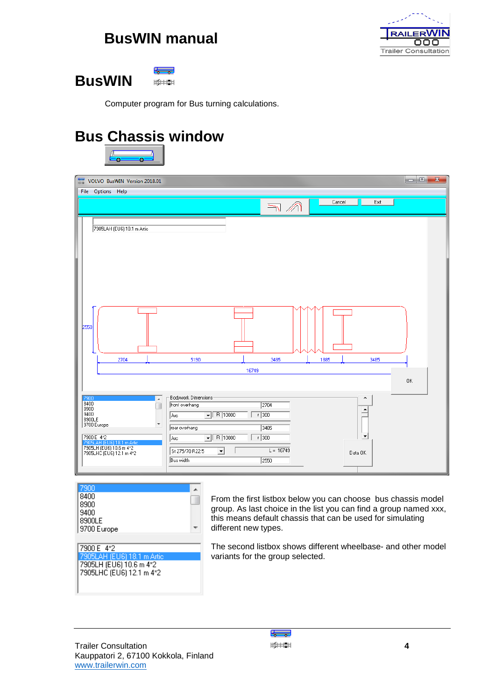

## **BusWIN**



Computer program for Bus turning calculations.

## <span id="page-4-0"></span>**Bus Chassis window**



| 듦                                                                   | VOLVO BusWIN Version 2018.01                                                                                                           |                                                                                                                                                                          |                    |                                     |      |         |                                                  | $= 0$<br>$\mathbf{x}$ |
|---------------------------------------------------------------------|----------------------------------------------------------------------------------------------------------------------------------------|--------------------------------------------------------------------------------------------------------------------------------------------------------------------------|--------------------|-------------------------------------|------|---------|--------------------------------------------------|-----------------------|
|                                                                     | File Options Help                                                                                                                      |                                                                                                                                                                          |                    | $\Rightarrow$ $\land$               |      | Cancel  | Exit                                             |                       |
|                                                                     | 7905LAH (EU6) 18.1 m Artic                                                                                                             |                                                                                                                                                                          |                    |                                     |      |         |                                                  |                       |
| 2550                                                                |                                                                                                                                        |                                                                                                                                                                          |                    |                                     |      |         |                                                  |                       |
|                                                                     | 2704                                                                                                                                   | 5190                                                                                                                                                                     |                    | 3485                                | 1885 |         | 3485                                             |                       |
|                                                                     |                                                                                                                                        |                                                                                                                                                                          | 16749              |                                     |      |         |                                                  | 0K                    |
| 7900<br>8400<br>8900<br>9400<br>8900LE<br>9700 Europe<br>7900 E 4*2 | $\blacktriangle$<br>п<br>$\overline{\phantom{a}}$<br>7905LAH (EU6) 18.1 m Artic<br>7905LH (EU6) 10.6 m 4*2<br>7905LHC (EU6) 12.1 m 4*2 | Bodywork Dimensions<br>front overhang<br>$\sqrt{R}$ 10000<br>Arc<br>rear overhang<br>$\sqrt{R}$ 10000<br>Arc<br>St 275/70 R22.5<br>$\overline{\phantom{a}}$<br>Bus width | $r$ 300<br>$r$ 300 | 2704<br>3485<br>$L = 16749$<br>2550 |      | Data OK | $\hat{\phantom{a}}$<br>٠<br>$\blacktriangledown$ |                       |

 $\overline{a}$ 8400 T 8900 9400 |8900LE  $\pm$ 9700 Europe

7900 E 4\*2 7905LH (EU6) 10.6 m 4\*2<br>7905LHC (EU6) 12.1 m 4\*2

From the first listbox below you can choose bus chassis model group. As last choice in the list you can find a group named xxx, this means default chassis that can be used for simulating different new types.

The second listbox shows different wheelbase- and other model variants for the group selected.

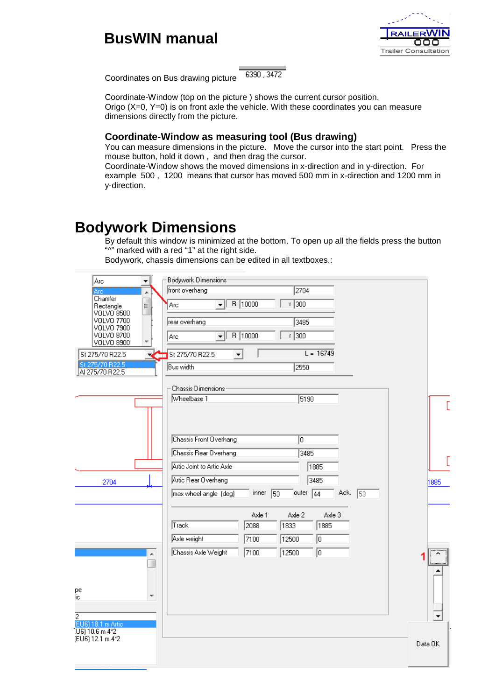

<span id="page-5-0"></span>Coordinates on Bus drawing picture

6390, 3472

Coordinate-Window (top on the picture ) shows the current cursor position. Origo  $(X=0, Y=0)$  is on front axle the vehicle. With these coordinates you can measure dimensions directly from the picture.

## **Coordinate-Window as measuring tool (Bus drawing)**

You can measure dimensions in the picture. Move the cursor into the start point. Press the mouse button, hold it down , and then drag the cursor. Coordinate-Window shows the moved dimensions in x-direction and in y-direction. For

example 500 , 1200 means that cursor has moved 500 mm in x-direction and 1200 mm in y-direction.

## **Bodywork Dimensions**

By default this window is minimized at the bottom. To open up all the fields press the button "<sup>"</sup>" marked with a red "1" at the right side.

Bodywork, chassis dimensions can be edited in all textboxes.:

| Arc<br>▼                                | Bodywork Dimensions                                                     |         |
|-----------------------------------------|-------------------------------------------------------------------------|---------|
| Äïë<br>À                                | front overhang<br>2704                                                  |         |
| Chamfer<br>Ξ<br>Rectangle               | R 10000<br>$r$ 300<br>▾╨<br>Arc                                         |         |
| VOLVO 8500<br>VOLVO 7700                | rear overhang<br>3485                                                   |         |
| VOLVO 7900<br>VOLVO 8700                |                                                                         |         |
| VOLVO 8900                              | R 10000<br>$r$ 300<br>Arc<br>▾╎                                         |         |
| St 275/70 R22.5                         | $L = 16749$<br>St 275/70 R22.5<br>▼                                     |         |
| St 275/70 R22.5<br>AI 275/70 R22.5      | Bus width<br>2550                                                       |         |
|                                         |                                                                         |         |
|                                         | <b>Chassis Dimensions</b>                                               |         |
|                                         | Wheelbase 1<br>5190                                                     |         |
|                                         |                                                                         |         |
|                                         |                                                                         |         |
|                                         | Chassis Front Overhang<br>O                                             |         |
|                                         | Chassis Rear Overhang<br>3485                                           |         |
|                                         | Artic Joint to Artic Axle<br>1885                                       |         |
| 2704                                    | Artic Rear Overhang<br>3485                                             | 1885    |
|                                         | Ack.<br>inner<br>53<br>outer $\sqrt{44}$<br>53<br>max wheel angle (deg) |         |
|                                         |                                                                         |         |
|                                         | Axle 3<br>Axle 1<br>Axle 2                                              |         |
|                                         | Track<br>2088<br>1833<br>1885                                           |         |
|                                         | Axle weight<br>7100<br>╔<br>12500                                       |         |
| Â                                       | Chassis Axle Weight<br>7100<br>╔<br>12500                               |         |
|                                         |                                                                         |         |
|                                         |                                                                         |         |
| рe<br>lic.                              |                                                                         |         |
|                                         |                                                                         |         |
| $\overline{2}$                          |                                                                         |         |
| (EU6) 18.1 m Artic<br>$[UB]$ 10.6 m 4*2 |                                                                         |         |
| (EU6) 12.1 m 4*2                        |                                                                         | Data OK |
|                                         |                                                                         |         |
|                                         |                                                                         |         |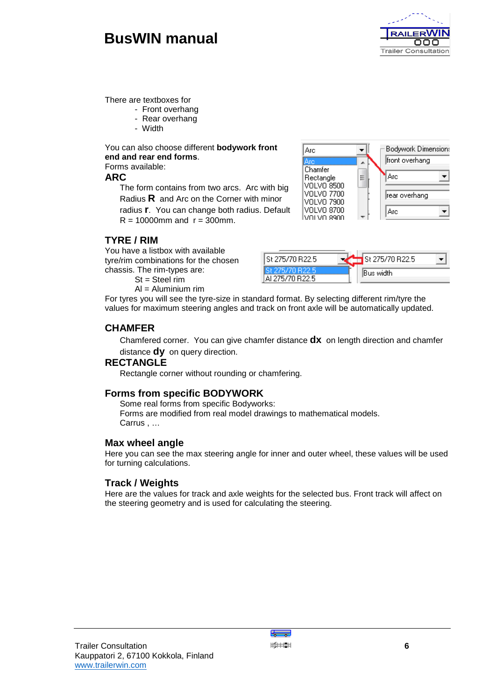

**Bodywork Dimensions** 

There are textboxes for

- Front overhang
	- Rear overhang
	- Width

You can also choose different **bodywork front end and rear end forms**. Forms available:

### **ARC**

The form contains from two arcs. Arc with big Radius **R** and Arc on the Corner with minor radius **r**. You can change both radius. Default  $R = 10000$  mm and  $r = 300$  mm.



## **TYRE / RIM**

You have a listbox with available tyre/rim combinations for the chosen chassis. The rim-types are:

 $St = Steel rim$ 

 $Al =$  Aluminium rim



 $\overline{\phantom{a}}$ 

For tyres you will see the tyre-size in standard format. By selecting different rim/tyre the values for maximum steering angles and track on front axle will be automatically updated.

### **CHAMFER**

Chamfered corner. You can give chamfer distance **dx** on length direction and chamfer distance **dy** on query direction.

lArc

### **RECTANGLE**

Rectangle corner without rounding or chamfering.

### **Forms from specific BODYWORK**

Some real forms from specific Bodyworks: Forms are modified from real model drawings to mathematical models. Carrus , …

### **Max wheel angle**

Here you can see the max steering angle for inner and outer wheel, these values will be used for turning calculations.

### **Track / Weights**

Here are the values for track and axle weights for the selected bus. Front track will affect on the steering geometry and is used for calculating the steering.

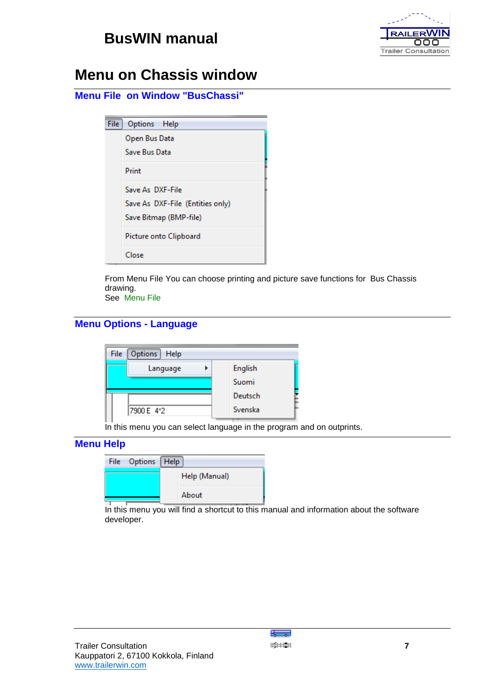

## **Menu on Chassis window**

|  |  | <b>Menu File on Window "BusChassi"</b> |
|--|--|----------------------------------------|
|--|--|----------------------------------------|

| File: | Options Help                     |
|-------|----------------------------------|
|       | Open Bus Data                    |
|       | Save Bus Data                    |
|       | Print                            |
|       | Save As DXF-File                 |
|       | Save As DXF-File (Entities only) |
|       | Save Bitmap (BMP-file)           |
|       | Picture onto Clipboard           |
|       | Close                            |

From Menu File You can choose printing and picture save functions for Bus Chassis drawing. See Menu File

## **Menu Options - Language**



In this menu you can select language in the program and on outprints.

## **Menu Help**

| File Options Help |               |  |
|-------------------|---------------|--|
|                   | Help (Manual) |  |
|                   | About         |  |

In this menu you will find a shortcut to this manual and information about the software developer.

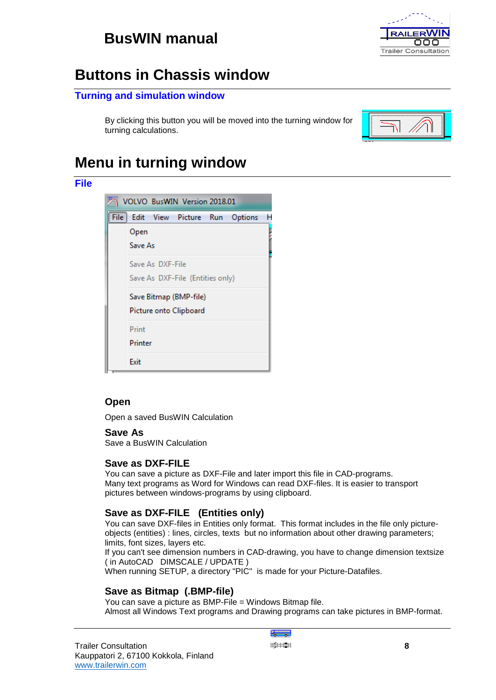

## **Buttons in Chassis window**

## **Turning and simulation window**

By clicking this button you will be moved into the turning window for turning calculations.



## **Menu in turning window**



## **Open**

**File**

Open a saved BusWIN Calculation

### **Save As**

Save a BusWIN Calculation

### **Save as DXF-FILE**

You can save a picture as DXF-File and later import this file in CAD-programs. Many text programs as Word for Windows can read DXF-files. It is easier to transport pictures between windows-programs by using clipboard.

## **Save as DXF-FILE (Entities only)**

You can save DXF-files in Entities only format. This format includes in the file only pictureobjects (entities) : lines, circles, texts but no information about other drawing parameters; limits, font sizes, layers etc.

If you can't see dimension numbers in CAD-drawing, you have to change dimension textsize ( in AutoCAD DIMSCALE / UPDATE )

When running SETUP, a directory "PIC" is made for your Picture-Datafiles.

## **Save as Bitmap (.BMP-file)**

You can save a picture as BMP-File = Windows Bitmap file. Almost all Windows Text programs and Drawing programs can take pictures in BMP-format.

₹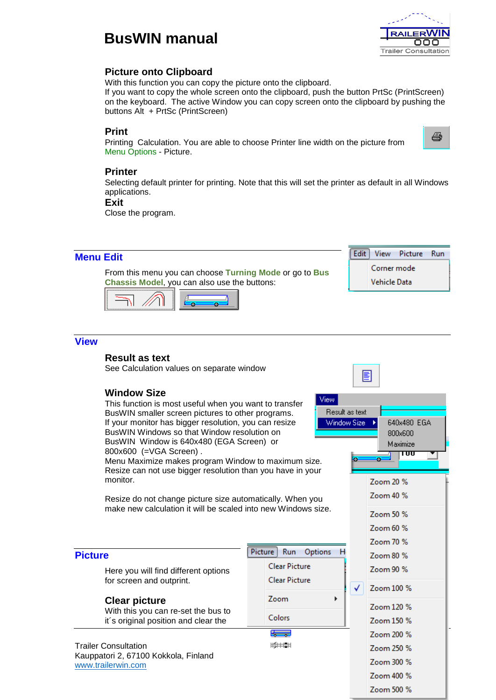

## **Picture onto Clipboard**

With this function you can copy the picture onto the clipboard.

If you want to copy the whole screen onto the clipboard, push the button PrtSc (PrintScreen) on the keyboard. The active Window you can copy screen onto the clipboard by pushing the buttons Alt + PrtSc (PrintScreen)

### <span id="page-9-0"></span>**Print**

Printing Calculation. You are able to choose Printer line width on the picture from Menu Options - Picture.



### **Printer**

Selecting default printer for printing. Note that this will set the printer as default in all Windows applications.

<span id="page-9-2"></span>**Exit**

Close the program.

<span id="page-9-1"></span>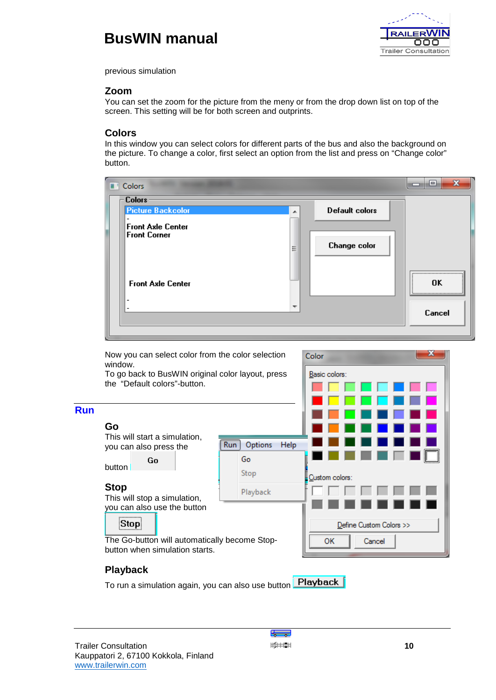

previous simulation

### **Zoom**

You can set the zoom for the picture from the meny or from the drop down list on top of the screen. This setting will be for both screen and outprints.

### **Colors**

In this window you can select colors for different parts of the bus and also the background on the picture. To change a color, first select an option from the list and press on "Change color" button.

| <b>T</b> Colors                                                       |                          |                       | X<br>$\qquad \qquad \blacksquare$            |
|-----------------------------------------------------------------------|--------------------------|-----------------------|----------------------------------------------|
| <b>Colors</b><br><b>Picture Backcolor</b><br><b>Front Axle Center</b> | ᆂ                        | <b>Default colors</b> |                                              |
| <b>Front Corner</b>                                                   | Ξ                        | <b>Change color</b>   |                                              |
| <b>Front Axle Center</b><br>$\overline{\phantom{a}}$                  |                          |                       | ,,,,,,,,,,,,,,,,,,,,,,,,,,,,,,,,,,,,,,<br>0K |
| $\overline{\phantom{a}}$                                              | $\overline{\phantom{a}}$ |                       | Cancel                                       |

<span id="page-10-0"></span>

## <span id="page-10-2"></span><span id="page-10-1"></span>**Playback**

**Playback** To run a simulation again, you can also use button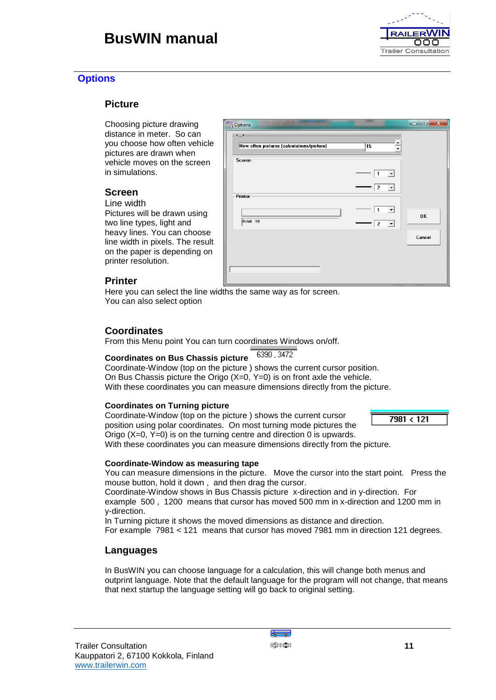## **Options**

### **Picture**

Choosing picture drawing distance in meter. So can you choose how often vehicle pictures are drawn when vehicle moves on the screen in simulations.

## **Screen**

Line width

Pictures will be drawn using two line types, light and heavy lines. You can choose line width in pixels. The result on the paper is depending on printer resolution.

| <b>Deptions</b>                                                           |                                        | $\mathbf{x}$<br>و د |
|---------------------------------------------------------------------------|----------------------------------------|---------------------|
| $\mathbf{x}_{\text{max}}$ x.<br>How often pictures (calculations/picture) | 15                                     |                     |
| Screen                                                                    |                                        |                     |
|                                                                           |                                        |                     |
|                                                                           | $\vert$ 2<br>$\blacktriangledown$      |                     |
| Printer                                                                   |                                        |                     |
|                                                                           | 1                                      | OK                  |
| Arial 10                                                                  | $\overline{a}$<br>$\blacktriangledown$ |                     |
|                                                                           |                                        | Cancel              |
|                                                                           |                                        |                     |
|                                                                           |                                        |                     |
|                                                                           |                                        |                     |

### **Printer**

Here you can select the line widths the same way as for screen. You can also select option

## **Coordinates**

From this Menu point You can turn coordinates Windows on/off.

#### 6390, 3472 **Coordinates on Bus Chassis picture**

Coordinate-Window (top on the picture ) shows the current cursor position. On Bus Chassis picture the Origo (X=0, Y=0) is on front axle the vehicle. With these coordinates you can measure dimensions directly from the picture.

### **Coordinates on Turning picture**

Coordinate-Window (top on the picture ) shows the current cursor position using polar coordinates. On most turning mode pictures the Origo (X=0, Y=0) is on the turning centre and direction 0 is upwards. With these coordinates you can measure dimensions directly from the picture.

### **Coordinate-Window as measuring tape**

You can measure dimensions in the picture. Move the cursor into the start point. Press the mouse button, hold it down , and then drag the cursor.

Coordinate-Window shows in Bus Chassis picture x-direction and in y-direction. For example 500 , 1200 means that cursor has moved 500 mm in x-direction and 1200 mm in y-direction.

In Turning picture it shows the moved dimensions as distance and direction.

For example 7981 < 121 means that cursor has moved 7981 mm in direction 121 degrees.

## **Languages**

In BusWIN you can choose language for a calculation, this will change both menus and outprint language. Note that the default language for the program will not change, that means that next startup the language setting will go back to original setting.



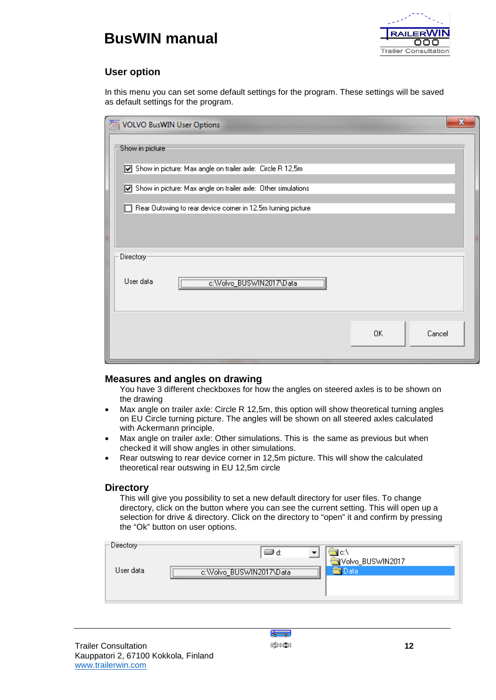



## **User option**

In this menu you can set some default settings for the program. These settings will be saved as default settings for the program.

| VOLVO BusWIN User Options                                          | $\mathbf{x}$ |
|--------------------------------------------------------------------|--------------|
| Show in picture                                                    |              |
| Show in picture: Max angle on trailer axle: Circle R 12,5m<br>⊡    |              |
| Show in picture: Max angle on trailer axle: Other simulations<br>☑ |              |
| Rear Outswing to rear device corner in 12.5m turning picture       |              |
|                                                                    |              |
| Directory                                                          |              |
| User data<br>c:Wolvo_BUSWIN2017\Data                               |              |
| Cancel<br>0K                                                       |              |

### **Measures and angles on drawing**

- You have 3 different checkboxes for how the angles on steered axles is to be shown on the drawing
- Max angle on trailer axle: Circle R 12,5m, this option will show theoretical turning angles on EU Circle turning picture. The angles will be shown on all steered axles calculated with Ackermann principle.
- Max angle on trailer axle: Other simulations. This is the same as previous but when checked it will show angles in other simulations.
- Rear outswing to rear device corner in 12,5m picture. This will show the calculated theoretical rear outswing in EU 12,5m circle

### **Directory**

This will give you possibility to set a new default directory for user files. To change directory, click on the button where you can see the current setting. This will open up a selection for drive & directory. Click on the directory to "open" it and confirm by pressing the "Ok" button on user options.

| Directory-<br>User data- | C.<br>Volvo_BUSWIN2017<br>,,,,,,,,,,,,,,,,,,,,,,,,,,,,,,,,,,,,<br>Jata<br>C. |
|--------------------------|------------------------------------------------------------------------------|
|                          |                                                                              |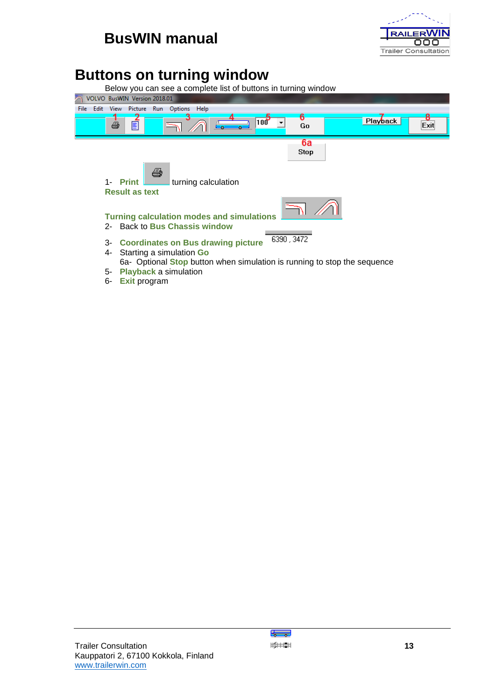

## **Buttons on turning window**



6- **[Exit](#page-9-2)** program

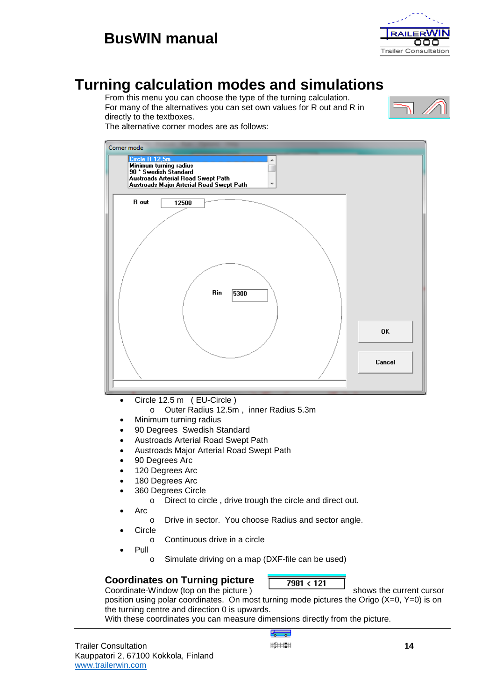



## <span id="page-14-0"></span>**Turning calculation modes and simulations**

From this menu you can choose the type of the turning calculation. For many of the alternatives you can set own values for R out and R in directly to the textboxes.



The alternative corner modes are as follows:

| Corner mode<br>Circle R 12,5m<br>Minimum turning radius<br>90 * Swedish Standard<br>Austroads Arterial Road Swept Path<br>Austroads Major Arterial Road Swept Path |              |
|--------------------------------------------------------------------------------------------------------------------------------------------------------------------|--------------|
| R out<br>12500<br>Rin<br>5300                                                                                                                                      |              |
|                                                                                                                                                                    | 0K<br>Cancel |
| Circle 12.5 m (EU-Circle)<br>$\bullet$                                                                                                                             |              |

- o Outer Radius 12.5m , inner Radius 5.3m
- Minimum turning radius
- 90 Degrees Swedish Standard
- Austroads Arterial Road Swept Path
- Austroads Major Arterial Road Swept Path
- 90 Degrees Arc
- 120 Degrees Arc
- 180 Degrees Arc
- 360 Degrees Circle
	- o Direct to circle , drive trough the circle and direct out.
- Arc
	- o Drive in sector. You choose Radius and sector angle.
- **Circle** 
	- o Continuous drive in a circle
- Pull
	- o Simulate driving on a map (DXF-file can be used)

### **Coordinates on Turning picture** Coordinate-Window (top on the picture ) shows the current cursor

position using polar coordinates. On most turning mode pictures the Origo (X=0, Y=0) is on the turning centre and direction 0 is upwards.

With these coordinates you can measure dimensions directly from the picture.

ہے۔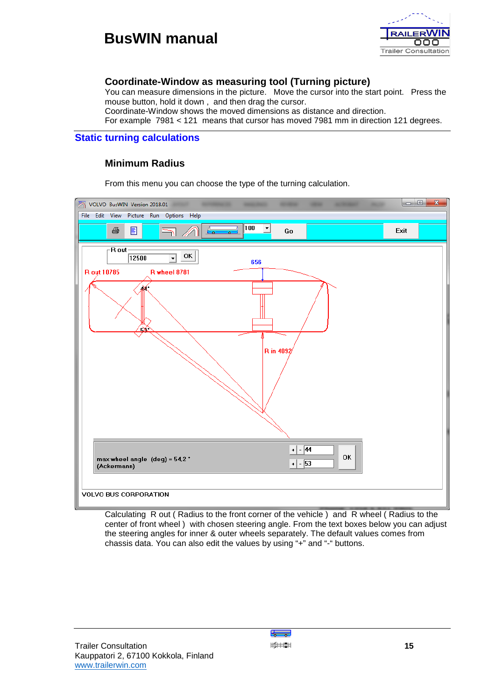

## **Coordinate-Window as measuring tool (Turning picture)**

You can measure dimensions in the picture. Move the cursor into the start point. Press the mouse button, hold it down , and then drag the cursor.

Coordinate-Window shows the moved dimensions as distance and direction.

For example 7981 < 121 means that cursor has moved 7981 mm in direction 121 degrees.

### **Static turning calculations**

### **Minimum Radius**

From this menu you can choose the type of the turning calculation.



Calculating R out ( Radius to the front corner of the vehicle ) and R wheel ( Radius to the center of front wheel ) with chosen steering angle. From the text boxes below you can adjust the steering angles for inner & outer wheels separately. The default values comes from chassis data. You can also edit the values by using "+" and "-" buttons.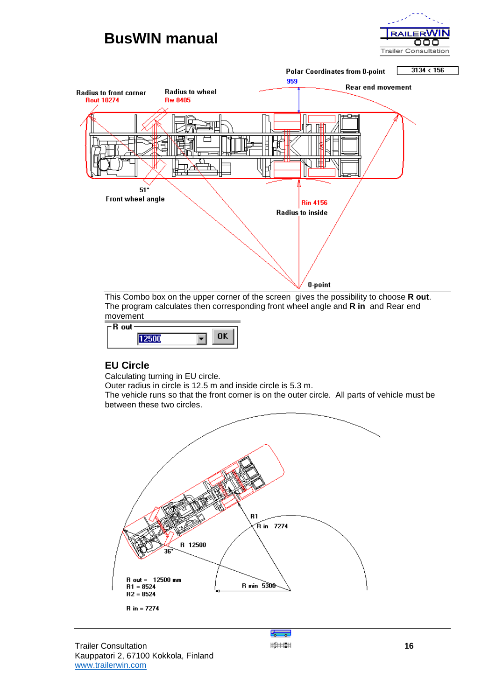



This Combo box on the upper corner of the screen gives the possibility to choose **R out**. The program calculates then corresponding front wheel angle and **R in** and Rear end movement

| - 011 |   |  |
|-------|---|--|
| -h.   |   |  |
|       | ۰ |  |
|       |   |  |
|       |   |  |

## **EU Circle**

Calculating turning in EU circle.

Outer radius in circle is 12.5 m and inside circle is 5.3 m.

The vehicle runs so that the front corner is on the outer circle. All parts of vehicle must be between these two circles.



÷

**Trailer Consultation 16** Kauppatori 2, 67100 Kokkola, Finland [www.trailerwin.com](http://www.trailerwin.com/)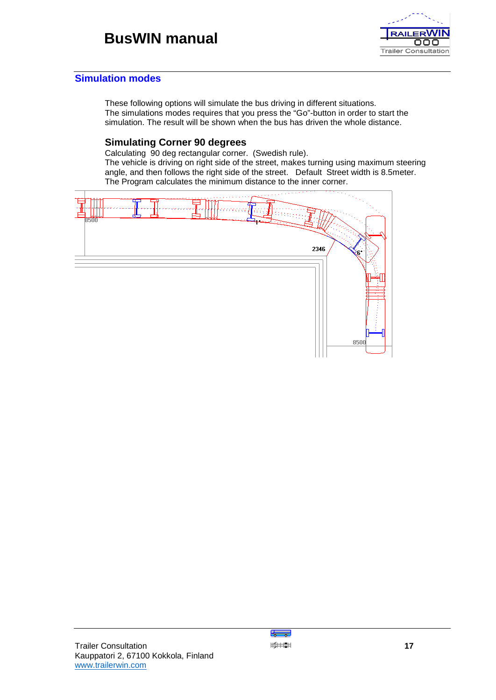

### **Simulation modes**

These following options will simulate the bus driving in different situations. The simulations modes requires that you press the "Go"-button in order to start the simulation. The result will be shown when the bus has driven the whole distance.

### **Simulating Corner 90 degrees**

Calculating 90 deg rectangular corner. (Swedish rule).

The vehicle is driving on right side of the street, makes turning using maximum steering angle, and then follows the right side of the street. Default Street width is 8.5meter. The Program calculates the minimum distance to the inner corner.



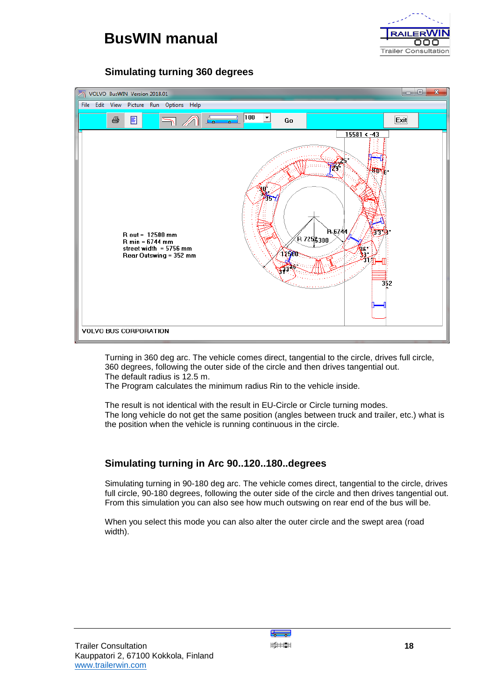



## **Simulating turning 360 degrees**



Turning in 360 deg arc. The vehicle comes direct, tangential to the circle, drives full circle, 360 degrees, following the outer side of the circle and then drives tangential out. The default radius is 12.5 m.

The Program calculates the minimum radius Rin to the vehicle inside.

The result is not identical with the result in EU-Circle or Circle turning modes. The long vehicle do not get the same position (angles between truck and trailer, etc.) what is the position when the vehicle is running continuous in the circle.

## **Simulating turning in Arc 90..120..180..degrees**

Simulating turning in 90-180 deg arc. The vehicle comes direct, tangential to the circle, drives full circle, 90-180 degrees, following the outer side of the circle and then drives tangential out. From this simulation you can also see how much outswing on rear end of the bus will be.

When you select this mode you can also alter the outer circle and the swept area (road width).

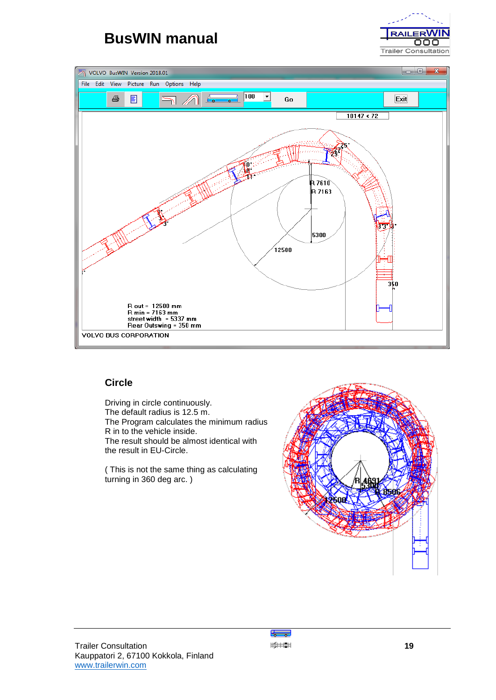





## **Circle**

Driving in circle continuously. The default radius is 12.5 m. The Program calculates the minimum radius R in to the vehicle inside. The result should be almost identical with the result in EU-Circle.

( This is not the same thing as calculating turning in 360 deg arc. )



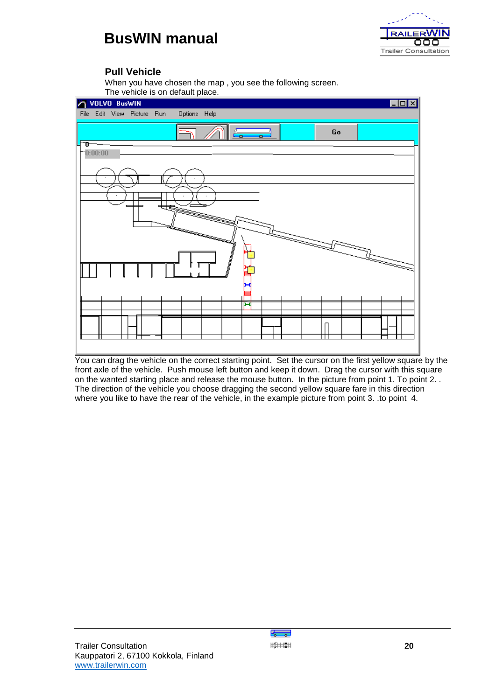

### **Pull Vehicle**

When you have chosen the map , you see the following screen.



You can drag the vehicle on the correct starting point. Set the cursor on the first yellow square by the front axle of the vehicle. Push mouse left button and keep it down. Drag the cursor with this square on the wanted starting place and release the mouse button. In the picture from point 1. To point 2. . The direction of the vehicle you choose dragging the second yellow square fare in this direction where you like to have the rear of the vehicle, in the example picture from point 3. .to point 4.

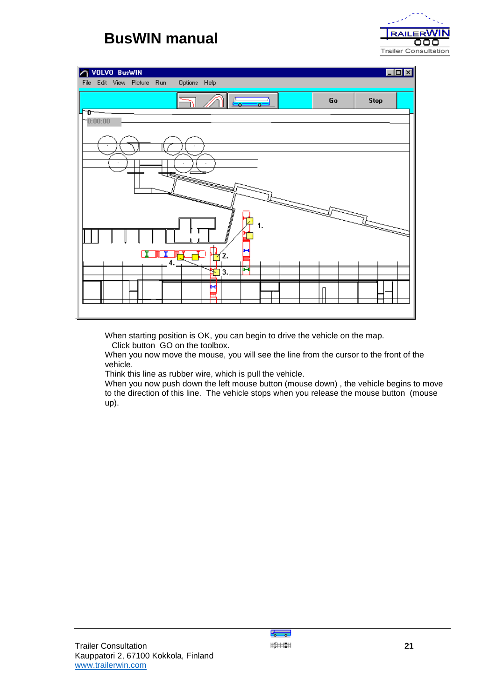

| VOLVO BusWIN<br>Ж                                                                                              |    | $\blacksquare\square\textrm{X}$ |
|----------------------------------------------------------------------------------------------------------------|----|---------------------------------|
| File Edit View Picture Run<br>Options Help                                                                     |    |                                 |
| ገበ                                                                                                             | Go | <b>Stop</b>                     |
| $-0:00:00$                                                                                                     |    |                                 |
|                                                                                                                |    |                                 |
|                                                                                                                |    |                                 |
|                                                                                                                |    |                                 |
| in pandang pandang pandang pandang pandang pandang pandang pandang pandang pandang pandang pandang pandang pan |    |                                 |
| 1.                                                                                                             |    | $\overline{\phantom{a}}$        |
| 2.<br>Λ                                                                                                        |    |                                 |
| ы<br>3<br>τ                                                                                                    |    |                                 |
| ы                                                                                                              |    |                                 |
|                                                                                                                |    |                                 |

When starting position is OK, you can begin to drive the vehicle on the map.

Click button GO on the toolbox.

When you now move the mouse, you will see the line from the cursor to the front of the vehicle.

Think this line as rubber wire, which is pull the vehicle.

When you now push down the left mouse button (mouse down) , the vehicle begins to move to the direction of this line. The vehicle stops when you release the mouse button (mouse up).

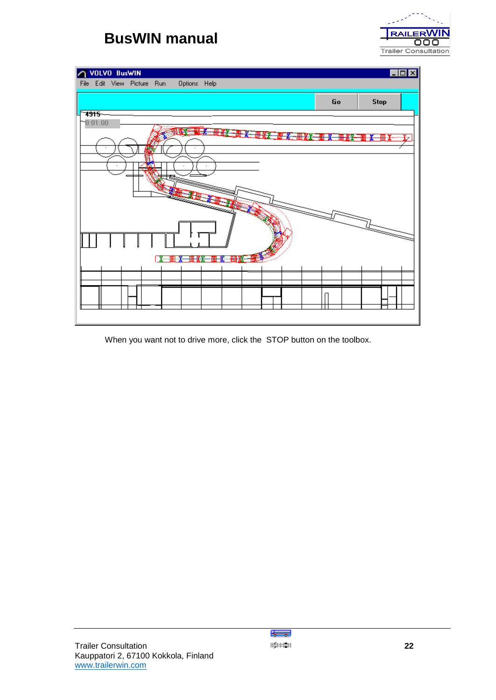

| VOLVO BusWIN                                                               |    | $\blacksquare\square$ $\times$       |
|----------------------------------------------------------------------------|----|--------------------------------------|
| Options Help<br>File Edit View Picture Run                                 |    |                                      |
|                                                                            | Go | <b>Stop</b>                          |
| <del>7915</del><br>$-0:01:00$                                              |    |                                      |
| <b>WELL AND THE REAL PROPERTY OF SALE</b><br><b>The Property of Action</b> | ₩Æ | <b>THE LAST COMPANY</b><br>-188⊢-12⊱ |
|                                                                            |    |                                      |
|                                                                            |    |                                      |
|                                                                            |    |                                      |
|                                                                            |    |                                      |
|                                                                            |    |                                      |
|                                                                            |    |                                      |
| 删误<br>五十四<br><b>T.  [              </b><br>₩                               |    |                                      |
|                                                                            |    |                                      |
|                                                                            |    |                                      |
|                                                                            |    |                                      |

When you want not to drive more, click the STOP button on the toolbox.

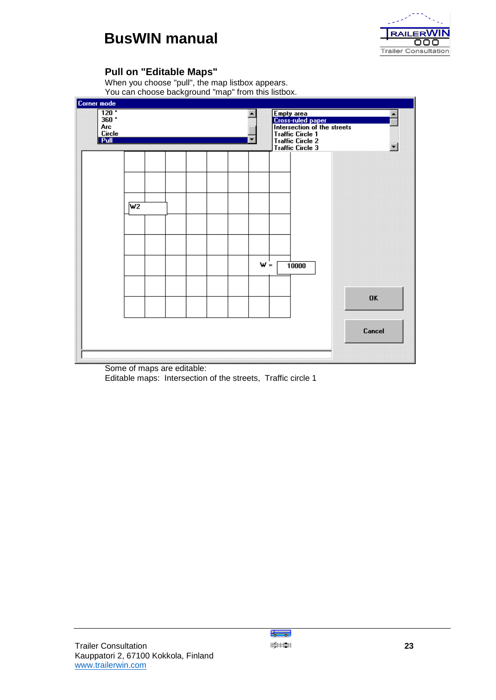

## **Pull on "Editable Maps"**

When you choose "pull", the map listbox appears. You can choose background "map" from this listbox.

| $\overline{120}$<br>$360 +$<br>Arc<br><b>Circle</b><br><b>Pull</b> |                  |  |       | Empty area<br>Cross-ruled paper<br>Intersection of the streets<br><b>Traffic Circle 1</b><br><b>Traffic Circle 2</b><br><b>Traffic Circle 3</b> |           |
|--------------------------------------------------------------------|------------------|--|-------|-------------------------------------------------------------------------------------------------------------------------------------------------|-----------|
|                                                                    |                  |  |       | :::::<br>:::::::<br>:::::::                                                                                                                     |           |
|                                                                    |                  |  |       |                                                                                                                                                 |           |
|                                                                    | $\overline{w_2}$ |  |       |                                                                                                                                                 |           |
|                                                                    |                  |  |       |                                                                                                                                                 |           |
|                                                                    |                  |  |       |                                                                                                                                                 |           |
|                                                                    |                  |  | $W =$ | 10000                                                                                                                                           |           |
|                                                                    |                  |  |       |                                                                                                                                                 |           |
|                                                                    |                  |  |       | ▒                                                                                                                                               | <b>OK</b> |
|                                                                    |                  |  |       |                                                                                                                                                 | Cancel    |
|                                                                    |                  |  |       |                                                                                                                                                 |           |

Some of maps are editable: Editable maps: Intersection of the streets, Traffic circle 1

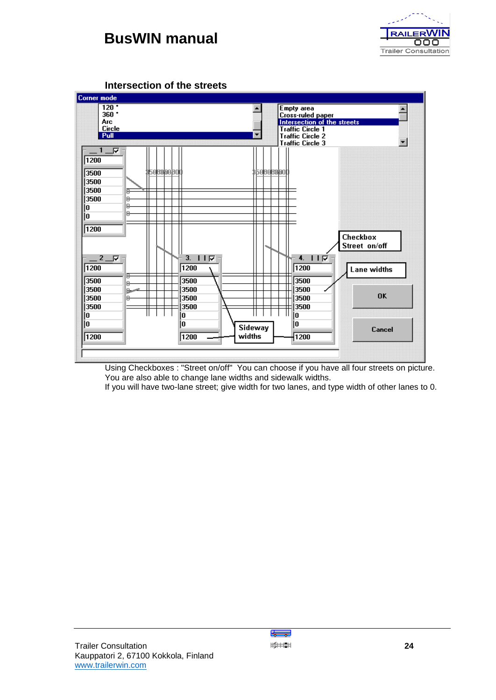



**Intersection of the streets**

Using Checkboxes : "Street on/off" You can choose if you have all four streets on picture. You are also able to change lane widths and sidewalk widths.

If you will have two-lane street; give width for two lanes, and type width of other lanes to 0.

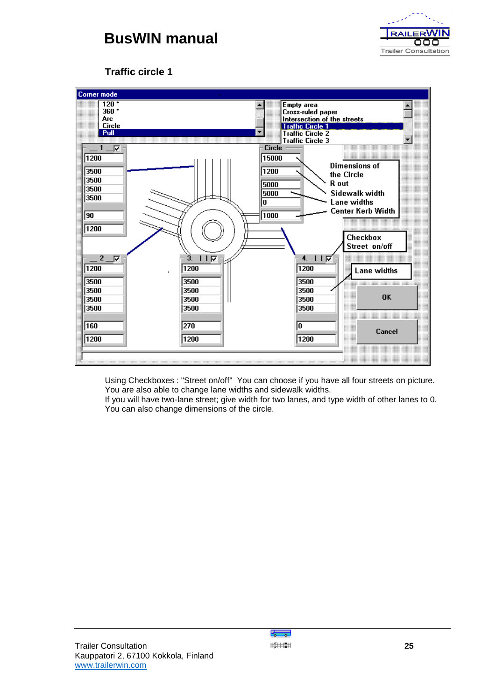

## **Traffic circle 1**



Using Checkboxes : "Street on/off" You can choose if you have all four streets on picture. You are also able to change lane widths and sidewalk widths.

If you will have two-lane street; give width for two lanes, and type width of other lanes to 0. You can also change dimensions of the circle.

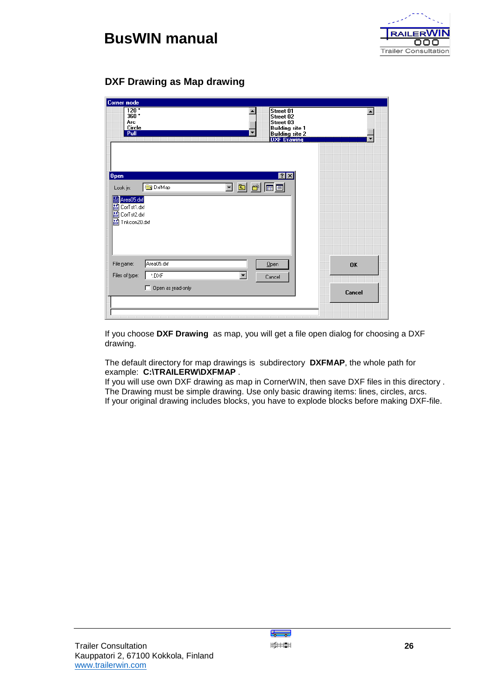



## **DXF Drawing as Map drawing**

| Corner mode<br>$\overline{120}$<br>Street 01<br>360:<br>Street 02<br>Arc<br>Street 03<br>Circle<br><b>Building site 1</b><br>Pull<br><b>Building site 2</b><br>DXF Drawing | A         |
|----------------------------------------------------------------------------------------------------------------------------------------------------------------------------|-----------|
| 7x<br>Open<br>可面<br>画画<br>ایخم<br><b>DxfMap</b><br>Look in:<br>Area05.dxf<br>CorTst1.dxf<br><b>Bir</b><br>儒<br>CorTst2.dxf<br>關<br>Tnkcon20.dxf                            |           |
| Area05.dxf<br>File name:<br>Open<br>Files of type:<br>*.DXF<br>۰<br>Cancel                                                                                                 | <b>OK</b> |
| Open as read-only<br>п                                                                                                                                                     | Cancel    |

If you choose **DXF Drawing** as map, you will get a file open dialog for choosing a DXF drawing.

The default directory for map drawings is subdirectory **DXFMAP**, the whole path for example: **C:\TRAILERW\DXFMAP** .

If you will use own DXF drawing as map in CornerWIN, then save DXF files in this directory . The Drawing must be simple drawing. Use only basic drawing items: lines, circles, arcs. If your original drawing includes blocks, you have to explode blocks before making DXF-file.

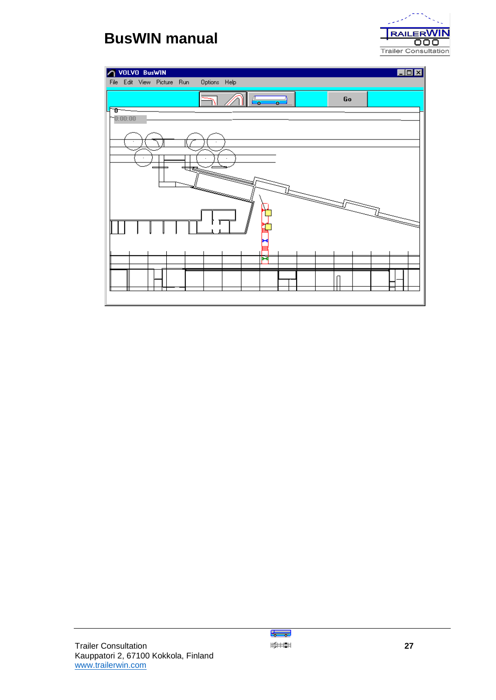



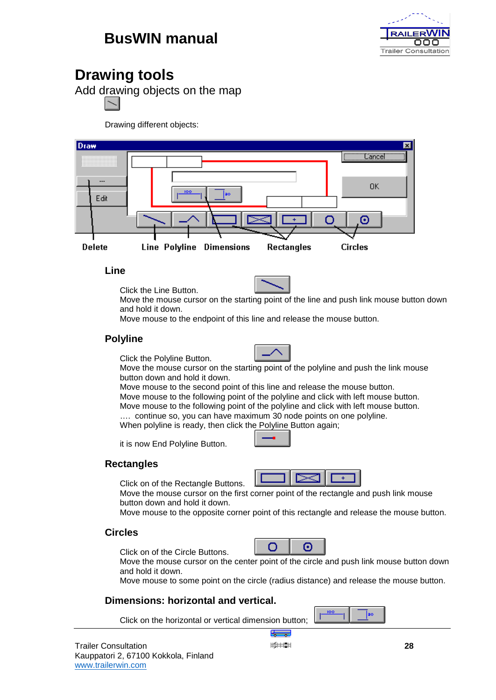

## **Drawing tools**

Add drawing objects on the map

Drawing different objects:



**Line**

Click the Line Button.



Move the mouse cursor on the starting point of the line and push link mouse button down and hold it down.

Move mouse to the endpoint of this line and release the mouse button.

## **Polyline**



Click the Polyline Button. Move the mouse cursor on the starting point of the polyline and push the link mouse button down and hold it down.

Move mouse to the second point of this line and release the mouse button. Move mouse to the following point of the polyline and click with left mouse button. Move mouse to the following point of the polyline and click with left mouse button.

.... continue so, you can have maximum 30 node points on one polyline. When polyline is ready, then click the Polyline Button again;

it is now End Polyline Button.

## **Rectangles**

Click on of the Rectangle Buttons.



Move the mouse cursor on the first corner point of the rectangle and push link mouse button down and hold it down.

Move mouse to the opposite corner point of this rectangle and release the mouse button.

## **Circles**

Click on of the Circle Buttons.



Move the mouse cursor on the center point of the circle and push link mouse button down and hold it down.

Move mouse to some point on the circle (radius distance) and release the mouse button.

## **Dimensions: horizontal and vertical.**

Click on the horizontal or vertical dimension button;